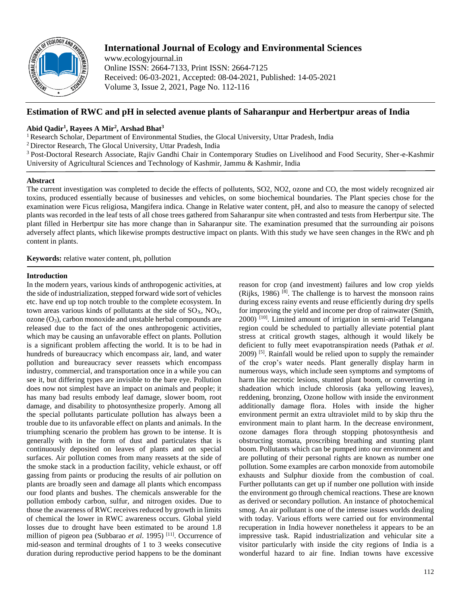

# **International Journal of Ecology and Environmental Sciences**

www.ecologyjournal.in Online ISSN: 2664-7133, Print ISSN: 2664-7125 Received: 06-03-2021, Accepted: 08-04-2021, Published: 14-05-2021 Volume 3, Issue 2, 2021, Page No. 112-116

# **Estimation of RWC and pH in selected avenue plants of Saharanpur and Herbertpur areas of India**

# **Abid Qadir<sup>1</sup> , Rayees A Mir<sup>2</sup> , Arshad Bhat<sup>3</sup>**

<sup>1</sup> Research Scholar, Department of Environmental Studies, the Glocal University, Uttar Pradesh, India

<sup>2</sup>Director Research, The Glocal University, Uttar Pradesh, India

<sup>3</sup> Post-Doctoral Research Associate, Rajiv Gandhi Chair in Contemporary Studies on Livelihood and Food Security, Sher-e-Kashmir University of Agricultural Sciences and Technology of Kashmir, Jammu & Kashmir, India

# **Abstract**

The current investigation was completed to decide the effects of pollutents, SO2, NO2, ozone and CO, the most widely recognized air toxins, produced essentially because of businesses and vehicles, on some biochemical boundaries. The Plant species chose for the examination were Ficus religiosa, Mangifera indica. Change in Relative water content, pH, and also to measure the canopy of selected plants was recorded in the leaf tests of all chose trees gathered from Saharanpur site when contrasted and tests from Herbertpur site. The plant filled in Herbertpur site has more change than in Saharanpur site. The examination presumed that the surrounding air poisons adversely affect plants, which likewise prompts destructive impact on plants. With this study we have seen changes in the RWc and ph content in plants.

**Keywords:** relative water content, ph, pollution

# **Introduction**

In the modern years, various kinds of anthropogenic activities, at the side of industrialization, stepped forward wide sort of vehicles etc. have end up top notch trouble to the complete ecosystem. In town areas various kinds of pollutants at the side of  $SO<sub>X</sub>$ ,  $NO<sub>X</sub>$ ,  $\alpha$ zone  $(O_3)$ , carbon monoxide and unstable herbal compounds are released due to the fact of the ones anthropogenic activities, which may be causing an unfavorable effect on plants. Pollution is a significant problem affecting the world. It is to be had in hundreds of bureaucracy which encompass air, land, and water pollution and bureaucracy sever reassets which encompass industry, commercial, and transportation once in a while you can see it, but differing types are invisible to the bare eye. Pollution does now not simplest have an impact on animals and people; it has many bad results embody leaf damage, slower boom, root damage, and disability to photosynthesize properly. Among all the special pollutants particulate pollution has always been a trouble due to its unfavorable effect on plants and animals. In the triumphing scenario the problem has grown to be intense. It is generally with in the form of dust and particulates that is continuously deposited on leaves of plants and on special surfaces. Air pollution comes from many reassets at the side of the smoke stack in a production facility, vehicle exhaust, or off gassing from paints or producing the results of air pollution on plants are broadly seen and damage all plants which encompass our food plants and bushes. The chemicals answerable for the pollution embody carbon, sulfur, and nitrogen oxides. Due to those the awareness of RWC receives reduced by growth in limits of chemical the lower in RWC awareness occurs. Global yield losses due to drought have been estimated to be around 1.8 million of pigeon pea (Subbarao *et al.* 1995)<sup>[11]</sup>. Occurrence of mid-season and terminal droughts of 1 to 3 weeks consecutive duration during reproductive period happens to be the dominant

reason for crop (and investment) failures and low crop yields  $(Ri$ <sup>[8]</sup>. The challenge is to harvest the monsoon rains during excess rainy events and reuse efficiently during dry spells for improving the yield and income per drop of rainwater (Smith, 2000) [10]. Limited amount of irrigation in semi-arid Telangana region could be scheduled to partially alleviate potential plant stress at critical growth stages, although it would likely be deficient to fully meet evapotranspiration needs (Pathak *et al*.  $2009$ <sup>[5]</sup>. Rainfall would be relied upon to supply the remainder of the crop's water needs. Plant generally display harm in numerous ways, which include seen symptoms and symptoms of harm like necrotic lesions, stunted plant boom, or converting in shadeation which include chlorosis (aka yellowing leaves), reddening, bronzing, Ozone hollow with inside the environment additionally damage flora. Holes with inside the higher environment permit an extra ultraviolet mild to by skip thru the environment main to plant harm. In the decrease environment, ozone damages flora through stopping photosynthesis and obstructing stomata, proscribing breathing and stunting plant boom. Pollutants which can be pumped into our environment and are polluting of their personal rights are known as number one pollution. Some examples are carbon monoxide from automobile exhausts and Sulphur dioxide from the combustion of coal. Further pollutants can get up if number one pollution with inside the environment go through chemical reactions. These are known as derived or secondary pollution. An instance of photochemical smog. An air pollutant is one of the intense issues worlds dealing with today. Various efforts were carried out for environmental recuperation in India however nonetheless it appears to be an impressive task. Rapid industrialization and vehicular site a visitor particularly with inside the city regions of India is a wonderful hazard to air fine. Indian towns have excessive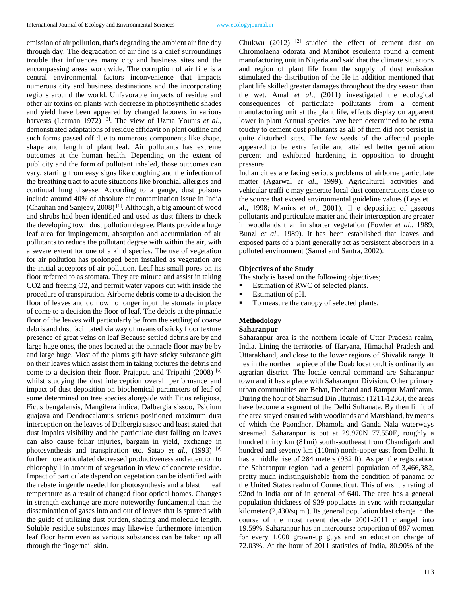emission of air pollution, that's degrading the ambient air fine day through day. The degradation of air fine is a chief surroundings trouble that influences many city and business sites and the encompassing areas worldwide. The corruption of air fine is a central environmental factors inconvenience that impacts numerous city and business destinations and the incorporating regions around the world. Unfavorable impacts of residue and other air toxins on plants with decrease in photosynthetic shades and yield have been appeared by changed laborers in various harvests (Lerman 1972)<sup>[3]</sup>. The view of Uzma Younis *et al.*, demonstrated adaptations of residue affidavit on plant outline and such forms passed off due to numerous components like shape, shape and length of plant leaf. Air pollutants has extreme outcomes at the human health. Depending on the extent of publicity and the form of pollutant inhaled, those outcomes can vary, starting from easy signs like coughing and the infection of the breathing tract to acute situations like bronchial allergies and continual lung disease. According to a gauge, dust poisons include around 40% of absolute air contamination issue in India (Chauhan and Sanjeev, 2008) [1] . Although, a big amount of wood and shrubs had been identified and used as dust filters to check the developing town dust pollution degree. Plants provide a huge leaf area for impingement, absorption and accumulation of air pollutants to reduce the pollutant degree with within the air, with a severe extent for one of a kind species. The use of vegetation for air pollution has prolonged been installed as vegetation are the initial acceptors of air pollution. Leaf has small pores on its floor referred to as stomata. They are minute and assist in taking CO2 and freeing O2, and permit water vapors out with inside the procedure of transpiration. Airborne debris come to a decision the floor of leaves and do now no longer input the stomata in place of come to a decision the floor of leaf. The debris at the pinnacle floor of the leaves will particularly be from the settling of coarse debris and dust facilitated via way of means of sticky floor texture presence of great veins on leaf Because settled debris are by and large huge ones, the ones located at the pinnacle floor may be by and large huge. Most of the plants gift have sticky substance gift on their leaves which assist them in taking pictures the debris and come to a decision their floor. Prajapati and Tripathi (2008) [6] whilst studying the dust interception overall performance and impact of dust deposition on biochemical parameters of leaf of some determined on tree species alongside with Ficus religiosa, Ficus bengalensis, Mangifera indica, Dalbergia sissoo, Psidium guajava and Dendrocalamus strictus positioned maximum dust interception on the leaves of Dalbergia sissoo and least stated that dust impairs visibility and the particulate dust falling on leaves can also cause foliar injuries, bargain in yield, exchange in photosynthesis and transpiration etc. Satao *et al*., (1993) [9] furthermore articulated decreased productiveness and attention to chlorophyll in amount of vegetation in view of concrete residue. Impact of particulate depend on vegetation can be identified with the rebate in gentle needed for photosynthesis and a blast in leaf temperature as a result of changed floor optical homes. Changes in strength exchange are more noteworthy fundamental than the dissemination of gases into and out of leaves that is spurred with the guide of utilizing dust burden, shading and molecule length. Soluble residue substances may likewise furthermore intention leaf floor harm even as various substances can be taken up all through the fingernail skin.

Chukwu  $(2012)$  <sup>[2]</sup> studied the effect of cement dust on Chromolaena odorata and Manihot esculenta round a cement manufacturing unit in Nigeria and said that the climate situations and region of plant life from the supply of dust emission stimulated the distribution of the He in addition mentioned that plant life skilled greater damages throughout the dry season than the wet. Amal *et al*., (2011) investigated the ecological consequences of particulate pollutants from a cement manufacturing unit at the plant life, effects display on apparent lower in plant Annual species have been determined to be extra touchy to cement dust pollutants as all of them did not persist in quite disturbed sites. The few seeds of the affected people appeared to be extra fertile and attained better germination percent and exhibited hardening in opposition to drought pressure.

Indian cities are facing serious problems of airborne particulate matter (Agarwal *et al*., 1999). Agricultural activities and vehicular traffi c may generate local dust concentrations close to the source that exceed environmental guideline values (Leys et

al., 1998; Manins *et al.*, 2001).  $\Box$  e deposition of gaseous pollutants and particulate matter and their interception are greater in woodlands than in shorter vegetation (Fowler *et al*., 1989; Bunzl *et al*., 1989). It has been established that leaves and exposed parts of a plant generally act as persistent absorbers in a polluted environment (Samal and Santra, 2002).

## **Objectives of the Study**

The study is based on the following objectives;

- Estimation of RWC of selected plants.
- **Estimation of pH.**
- To measure the canopy of selected plants.

# **Methodology**

# **Saharanpur**

Saharanpur area is the northern locale of Uttar Pradesh realm, India. Lining the territories of Haryana, Himachal Pradesh and Uttarakhand, and close to the lower regions of Shivalik range. It lies in the northern a piece of the Doab location.It is ordinarily an agrarian district. The locale central command are Saharanpur town and it has a place with Saharanpur Division. Other primary urban communities are Behat, Deoband and Rampur Maniharan. During the hour of Shamsud Din Iltutmish (1211-1236), the areas have become a segment of the Delhi Sultanate. By then limit of the area stayed ensured with woodlands and Marshland, by means of which the Paondhor, Dhamola and Ganda Nala waterways streamed. Saharanpur is put at 29.970N 77.550E, roughly a hundred thirty km (81mi) south-southeast from Chandigarh and hundred and seventy km (110mi) north-upper east from Delhi. It has a middle rise of 284 meters (932 ft). As per the registration the Saharanpur region had a general population of 3,466,382, pretty much indistinguishable from the condition of panama or the United States realm of Connecticut. This offers it a rating of 92nd in India out of in general of 640. The area has a general population thickness of 939 populaces in sync with rectangular kilometer (2,430/sq mi). Its general population blast charge in the course of the most recent decade 2001-2011 changed into 19.59%. Saharanpur has an intercourse proportion of 887 women for every 1,000 grown-up guys and an education charge of 72.03%. At the hour of 2011 statistics of India, 80.90% of the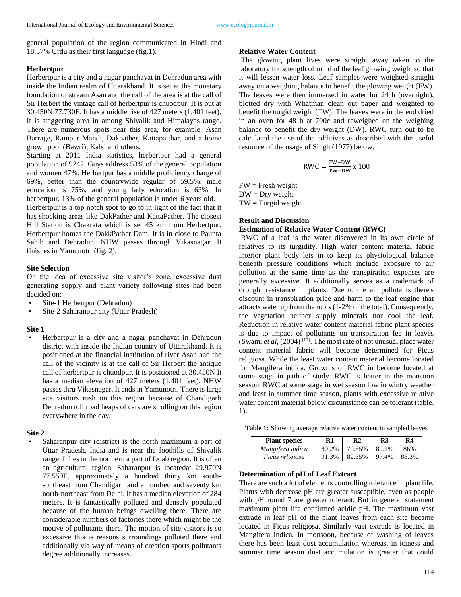general population of the region communicated in Hindi and 18.57% Urdu as their first language (fig.1).

#### **Herbertpur**

Herbertpur is a city and a nagar panchayat in Dehradun area with inside the Indian realm of Uttarakhand. It is set at the monetary foundation of stream Asan and the call of the area is at the call of Sir Herbert the vintage call of herbertpur is chuodpur. It is put at 30.450N 77.730E. It has a middle rise of 427 meters (1,401 feet). It is staggering area in among Shivalik and Himalayas range. There are numerous spots near this area, for example. Asan Barrage, Rampur Mandi, Dakpather, Kattapatthar, and a home grown pool (Bawri), Kalsi and others.

Starting at 2011 India statistics, herbertpur had a general population of 9242. Guys address 53% of the general population and women 47%. Herbertpur has a middle proficiency charge of 69%, better than the countrywide regular of 59.5%: male education is 75%, and young lady education is 63%. In herbertpur, 13% of the general population is under 6 years old.

Herbertpur is a top notch spot to go to in light of the fact that it has shocking areas like DakPather and KattaPather. The closest Hill Station is Chakrata which is set 45 km from Herbertpur. Herbertpur homes the DakkPather Dam. It is in close to Paunta Sahib and Dehradun. NHW passes through Vikasnagar. It finishes in Yamunotri (fig. 2).

### **Site Selection**

On the idea of excessive site visitor's zone, excessive dust generating supply and plant variety following sites had been decided on:

- Site-1 Herbertpur (Dehradun)
- Site-2 Saharanpur city (Uttar Pradesh)

#### **Site 1**

• Herbertpur is a city and a nagar panchayat in Dehradun district with inside the Indian country of Uttarakhand. It is positioned at the financial institution of river Asan and the call of the vicinity is at the call of Sir Herbert the antique call of herbertpur is chuodpur. It is positioned at 30.450N It has a median elevation of 427 meters (1,401 feet). NHW passes thru Vikasnagar. It ends in Yamunotri. There is large site visitors rush on this region because of Chandigarh Dehradun toll road heaps of cars are strolling on this region everywhere in the day.

#### **Site 2**

Saharanpur city (district) is the north maximum a part of Uttar Pradesh, India and is near the foothills of Shivalik range. It lies in the northern a part of Doab region. It is often an agricultural region. Saharanpur is locatedat 29.970N 77.550E, approximately a hundred thirty km southsoutheast from Chandigarh and a hundred and seventy km north-northeast from Delhi. It has a median elevation of 284 meters. It is fantastically polluted and densely populated because of the human beings dwelling there. There are considerable numbers of factories there which might be the motive of pollutants there. The motion of site visitors is so excessive this is reasons surroundings polluted there and additionally via way of means of creation sports pollutants degree additionally increases.

# **Relative Water Content**

The glowing plant lives were straight away taken to the laboratory for strength of mind of the leaf glowing weight so that it will lessen water loss. Leaf samples were weighted straight away on a weighing balance to benefit the glowing weight (FW). The leaves were then immersed in water for 24 h (overnight), blotted dry with Whatman clean out paper and weighted to benefit the turgid weight (TW). The leaves were in the end dried in an oven for 48 h at 700c and reweighed on the weighing balance to benefit the dry weight (DW). RWC turn out to be calculated the use of the additives as described with the useful resource of the usage of Singh (1977) below.

$$
RWC = \frac{FW - DW}{TW - DW} \times 100
$$

 $FW =$  Fresh weight  $DW = Dry$  weight  $TW = Turgid weight$ 

# **Result and Discussion**

#### **Estimation of Relative Water Content (RWC)**

RWC of a leaf is the water discovered in its own circle of relatives to its turgidity. High water content material fabric interior plant body lets in to keep its physiological balance beneath pressure conditions which include exposure to air pollution at the same time as the transpiration expenses are generally excessive. It additionally serves as a trademark of drought resistance in plants. Due to the air pollutants there's discount in transpiration price and harm to the leaf engine that attracts water up from the roots (1-2% of the total). Consequently, the vegetation neither supply minerals nor cool the leaf. Reduction in relative water content material fabric plant species is due to impact of pollutants on transpiration fee in leaves (Swami  $et$   $al$ ,  $(2004)$ <sup>[12]</sup>. The most rate of not unusual place water content material fabric will become determined for Ficus religiosa. While the least water content material become located for Mangifera indica. Growths of RWC in become located at some stage in path of study. RWC is better in the monsoon season. RWC at some stage in wet season low in wintry weather and least in summer time season, plants with excessive relative water content material below circumstance can be tolerant (table. 1).

**Table 1:** Showing average relative water content in sampled leaves

| <b>Plant species</b>   | R1    | R <sub>2</sub> | R3    | R4    |
|------------------------|-------|----------------|-------|-------|
| Mangifera indica       | 80.2% | 79.85%         | 89.1% | 86%   |
| <i>Ficus religiosa</i> | 91.3% | 82.35%         | 97.4% | 88.3% |

### **Determination of pH of Leaf Extract**

There are such a lot of elements controlling tolerance in plant life. Plants with decrease pH are greater susceptible, even as people with pH round 7 are greater tolerant. But in general statement maximum plant life confirmed acidic pH. The maximum vast extrade in leaf pH of the plant leaves from each site became located in Ficus religiosa. Similarly vast extrade is located in Mangifera indica. In monsoon, because of washing of leaves there has been least dust accumulation whereas, in iciness and summer time season dust accumulation is greater that could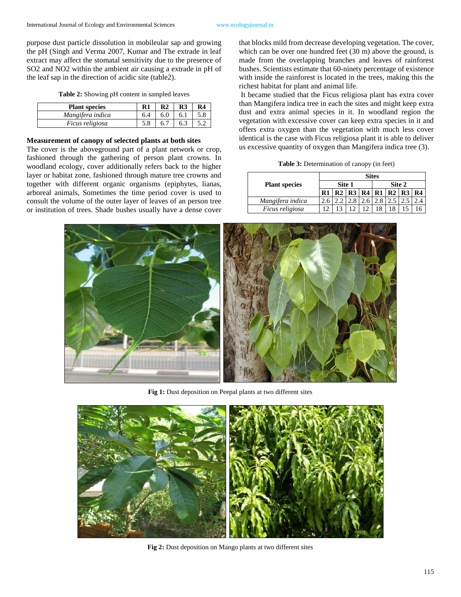purpose dust particle dissolution in mobileular sap and growing the pH (Singh and Verma 2007, Kumar and The extrade in leaf extract may affect the stomatal sensitivity due to the presence of SO2 and NO2 within the ambient air causing a extrade in pH of the leaf sap in the direction of acidic site (table2).

|  | Table 2: Showing pH content in sampled leaves |  |  |  |  |  |
|--|-----------------------------------------------|--|--|--|--|--|
|--|-----------------------------------------------|--|--|--|--|--|

| <b>Plant species</b>   |     | R <sub>2</sub> | R3  | R <sub>4</sub> |
|------------------------|-----|----------------|-----|----------------|
| Mangifera indica       | 6.4 | 6.0            | 6.1 | 5.8            |
| <i>Ficus religiosa</i> | 5.8 | 6.7            | 6.3 |                |

# **Measurement of canopy of selected plants at both sites**

The cover is the aboveground part of a plant network or crop, fashioned through the gathering of person plant crowns. In woodland ecology, cover additionally refers back to the higher layer or habitat zone, fashioned through mature tree crowns and together with different organic organisms (epiphytes, lianas, arboreal animals, Sometimes the time period cover is used to consult the volume of the outer layer of leaves of an person tree or institution of trees. Shade bushes usually have a dense cover

that blocks mild from decrease developing vegetation. The cover, which can be over one hundred feet (30 m) above the ground, is made from the overlapping branches and leaves of rainforest bushes. Scientists estimate that 60-ninety percentage of existence with inside the rainforest is located in the trees, making this the richest habitat for plant and animal life.

It became studied that the Ficus religiosa plant has extra cover than Mangifera indica tree in each the sites and might keep extra dust and extra animal species in it. In woodland region the vegetation with excessive cover can keep extra species in it and offers extra oxygen than the vegetation with much less cover identical is the case with Ficus religiosa plant it is able to deliver us excessive quantity of oxygen than Mangifera indica tree (3).

**Table 3:** Determination of canopy (in feet)

|                      | <b>Sites</b> |        |  |                                  |        |  |  |  |
|----------------------|--------------|--------|--|----------------------------------|--------|--|--|--|
| <b>Plant species</b> |              | Site 1 |  |                                  | Site 2 |  |  |  |
|                      | R1           |        |  | R2   R3   R4   R1   R2   R3   R4 |        |  |  |  |
| Mangifera indica     |              |        |  |                                  |        |  |  |  |
| Ficus religiosa      |              |        |  |                                  |        |  |  |  |



**Fig 1:** Dust deposition on Peepal plants at two different sites



**Fig 2:** Dust deposition on Mango plants at two different sites